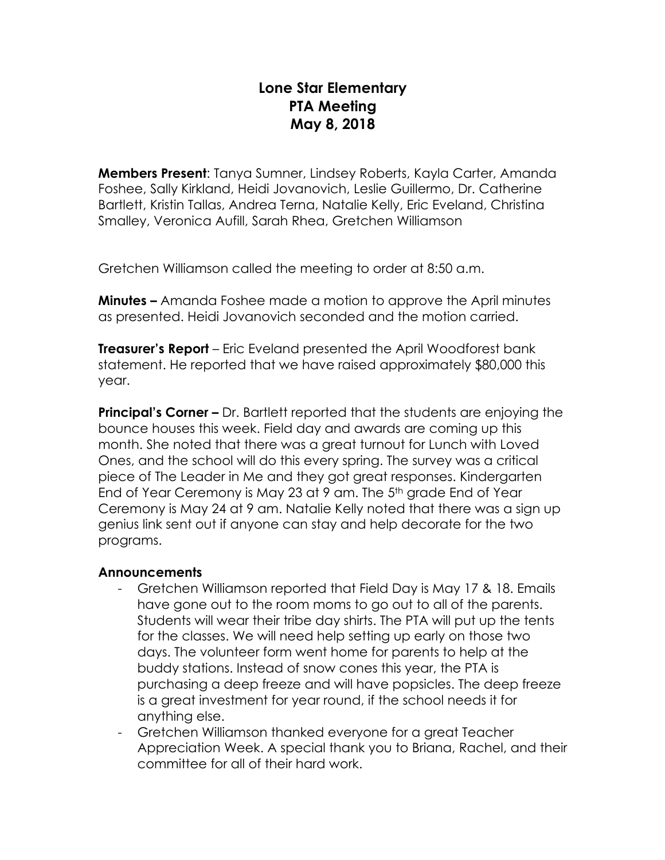## **Lone Star Elementary PTA Meeting May 8, 2018**

**Members Present**: Tanya Sumner, Lindsey Roberts, Kayla Carter, Amanda Foshee, Sally Kirkland, Heidi Jovanovich, Leslie Guillermo, Dr. Catherine Bartlett, Kristin Tallas, Andrea Terna, Natalie Kelly, Eric Eveland, Christina Smalley, Veronica Aufill, Sarah Rhea, Gretchen Williamson

Gretchen Williamson called the meeting to order at 8:50 a.m.

**Minutes –** Amanda Foshee made a motion to approve the April minutes as presented. Heidi Jovanovich seconded and the motion carried.

**Treasurer's Report** – Eric Eveland presented the April Woodforest bank statement. He reported that we have raised approximately \$80,000 this year.

**Principal's Corner –** Dr. Bartlett reported that the students are enjoying the bounce houses this week. Field day and awards are coming up this month. She noted that there was a great turnout for Lunch with Loved Ones, and the school will do this every spring. The survey was a critical piece of The Leader in Me and they got great responses. Kindergarten End of Year Ceremony is May 23 at 9 am. The 5th grade End of Year Ceremony is May 24 at 9 am. Natalie Kelly noted that there was a sign up genius link sent out if anyone can stay and help decorate for the two programs.

## **Announcements**

- Gretchen Williamson reported that Field Day is May 17 & 18. Emails have gone out to the room moms to go out to all of the parents. Students will wear their tribe day shirts. The PTA will put up the tents for the classes. We will need help setting up early on those two days. The volunteer form went home for parents to help at the buddy stations. Instead of snow cones this year, the PTA is purchasing a deep freeze and will have popsicles. The deep freeze is a great investment for year round, if the school needs it for anything else.
- Gretchen Williamson thanked everyone for a great Teacher Appreciation Week. A special thank you to Briana, Rachel, and their committee for all of their hard work.